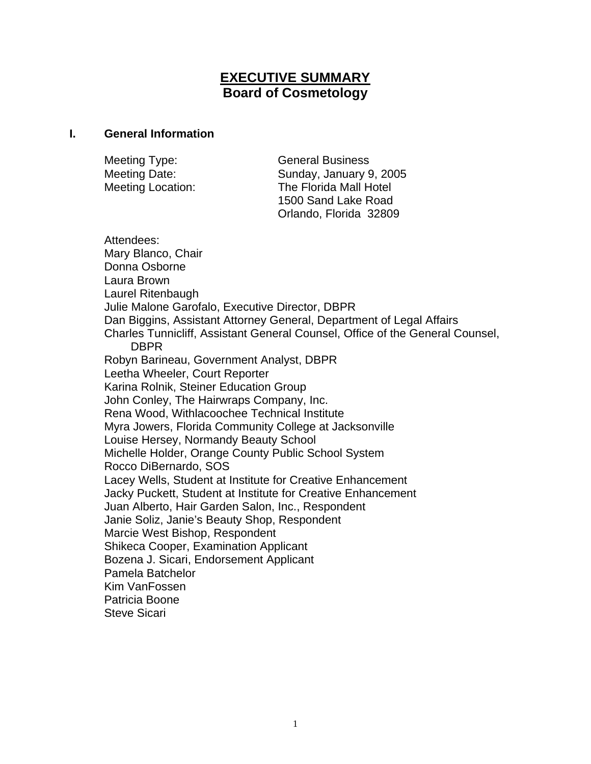# **EXECUTIVE SUMMARY Board of Cosmetology**

#### **I. General Information**

| Meeting Type:            | <b>General Business</b> |
|--------------------------|-------------------------|
| Meeting Date:            | Sunday, January 9, 2005 |
| <b>Meeting Location:</b> | The Florida Mall Hotel  |
|                          | 1500 Sand Lake Road     |
|                          | Orlando, Florida 32809  |

Attendees: Mary Blanco, Chair Donna Osborne Laura Brown Laurel Ritenbaugh Julie Malone Garofalo, Executive Director, DBPR Dan Biggins, Assistant Attorney General, Department of Legal Affairs Charles Tunnicliff, Assistant General Counsel, Office of the General Counsel, DBPR Robyn Barineau, Government Analyst, DBPR Leetha Wheeler, Court Reporter Karina Rolnik, Steiner Education Group John Conley, The Hairwraps Company, Inc. Rena Wood, Withlacoochee Technical Institute Myra Jowers, Florida Community College at Jacksonville Louise Hersey, Normandy Beauty School Michelle Holder, Orange County Public School System Rocco DiBernardo, SOS Lacey Wells, Student at Institute for Creative Enhancement Jacky Puckett, Student at Institute for Creative Enhancement Juan Alberto, Hair Garden Salon, Inc., Respondent Janie Soliz, Janie's Beauty Shop, Respondent Marcie West Bishop, Respondent Shikeca Cooper, Examination Applicant Bozena J. Sicari, Endorsement Applicant Pamela Batchelor Kim VanFossen Patricia Boone Steve Sicari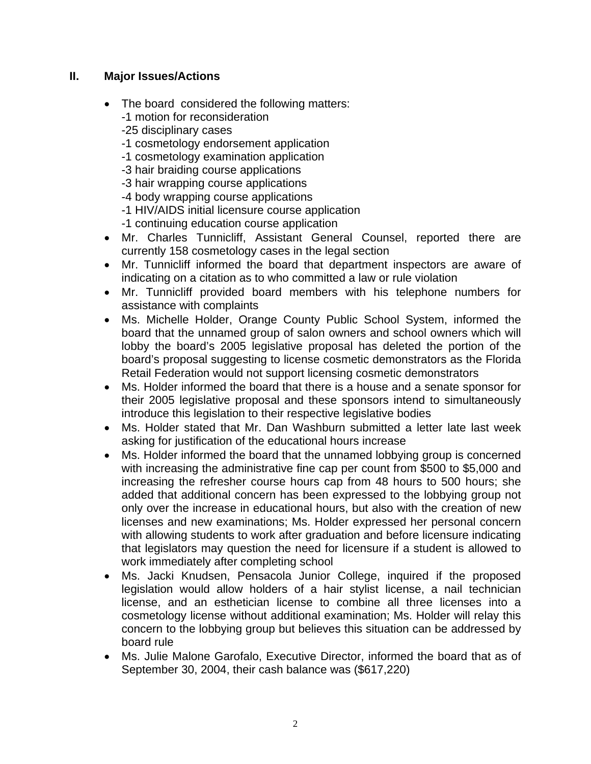#### **II. Major Issues/Actions**

- The board considered the following matters: -1 motion for reconsideration
	- -25 disciplinary cases
	- -1 cosmetology endorsement application
	- -1 cosmetology examination application
	- -3 hair braiding course applications
	- -3 hair wrapping course applications
	- -4 body wrapping course applications
	- -1 HIV/AIDS initial licensure course application
	- -1 continuing education course application
- Mr. Charles Tunnicliff, Assistant General Counsel, reported there are currently 158 cosmetology cases in the legal section
- Mr. Tunnicliff informed the board that department inspectors are aware of indicating on a citation as to who committed a law or rule violation
- Mr. Tunnicliff provided board members with his telephone numbers for assistance with complaints
- Ms. Michelle Holder, Orange County Public School System, informed the board that the unnamed group of salon owners and school owners which will lobby the board's 2005 legislative proposal has deleted the portion of the board's proposal suggesting to license cosmetic demonstrators as the Florida Retail Federation would not support licensing cosmetic demonstrators
- Ms. Holder informed the board that there is a house and a senate sponsor for their 2005 legislative proposal and these sponsors intend to simultaneously introduce this legislation to their respective legislative bodies
- Ms. Holder stated that Mr. Dan Washburn submitted a letter late last week asking for justification of the educational hours increase
- Ms. Holder informed the board that the unnamed lobbying group is concerned with increasing the administrative fine cap per count from \$500 to \$5,000 and increasing the refresher course hours cap from 48 hours to 500 hours; she added that additional concern has been expressed to the lobbying group not only over the increase in educational hours, but also with the creation of new licenses and new examinations; Ms. Holder expressed her personal concern with allowing students to work after graduation and before licensure indicating that legislators may question the need for licensure if a student is allowed to work immediately after completing school
- Ms. Jacki Knudsen, Pensacola Junior College, inquired if the proposed legislation would allow holders of a hair stylist license, a nail technician license, and an esthetician license to combine all three licenses into a cosmetology license without additional examination; Ms. Holder will relay this concern to the lobbying group but believes this situation can be addressed by board rule
- Ms. Julie Malone Garofalo, Executive Director, informed the board that as of September 30, 2004, their cash balance was (\$617,220)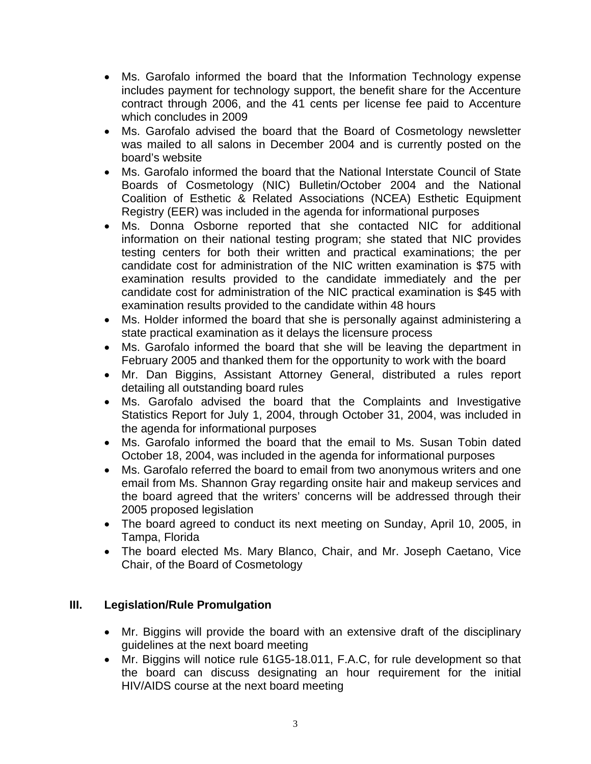- Ms. Garofalo informed the board that the Information Technology expense includes payment for technology support, the benefit share for the Accenture contract through 2006, and the 41 cents per license fee paid to Accenture which concludes in 2009
- Ms. Garofalo advised the board that the Board of Cosmetology newsletter was mailed to all salons in December 2004 and is currently posted on the board's website
- Ms. Garofalo informed the board that the National Interstate Council of State Boards of Cosmetology (NIC) Bulletin/October 2004 and the National Coalition of Esthetic & Related Associations (NCEA) Esthetic Equipment Registry (EER) was included in the agenda for informational purposes
- Ms. Donna Osborne reported that she contacted NIC for additional information on their national testing program; she stated that NIC provides testing centers for both their written and practical examinations; the per candidate cost for administration of the NIC written examination is \$75 with examination results provided to the candidate immediately and the per candidate cost for administration of the NIC practical examination is \$45 with examination results provided to the candidate within 48 hours
- Ms. Holder informed the board that she is personally against administering a state practical examination as it delays the licensure process
- Ms. Garofalo informed the board that she will be leaving the department in February 2005 and thanked them for the opportunity to work with the board
- Mr. Dan Biggins, Assistant Attorney General, distributed a rules report detailing all outstanding board rules
- Ms. Garofalo advised the board that the Complaints and Investigative Statistics Report for July 1, 2004, through October 31, 2004, was included in the agenda for informational purposes
- Ms. Garofalo informed the board that the email to Ms. Susan Tobin dated October 18, 2004, was included in the agenda for informational purposes
- Ms. Garofalo referred the board to email from two anonymous writers and one email from Ms. Shannon Gray regarding onsite hair and makeup services and the board agreed that the writers' concerns will be addressed through their 2005 proposed legislation
- The board agreed to conduct its next meeting on Sunday, April 10, 2005, in Tampa, Florida
- The board elected Ms. Mary Blanco, Chair, and Mr. Joseph Caetano, Vice Chair, of the Board of Cosmetology

### **III. Legislation/Rule Promulgation**

- Mr. Biggins will provide the board with an extensive draft of the disciplinary guidelines at the next board meeting
- Mr. Biggins will notice rule 61G5-18.011, F.A.C, for rule development so that the board can discuss designating an hour requirement for the initial HIV/AIDS course at the next board meeting